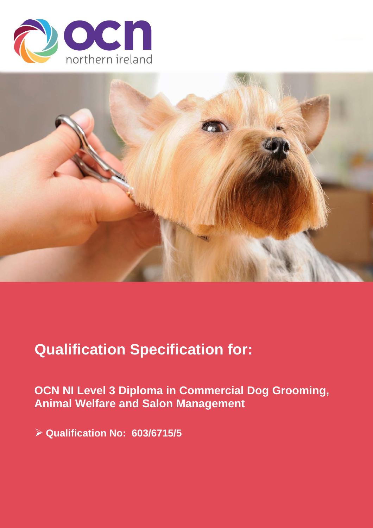



# **Qualification Specification for:**

**OCN NI Level 3 Diploma in Commercial Dog Grooming, Animal Welfare and Salon Management**

➢ **Qualification No: 603/6715/5**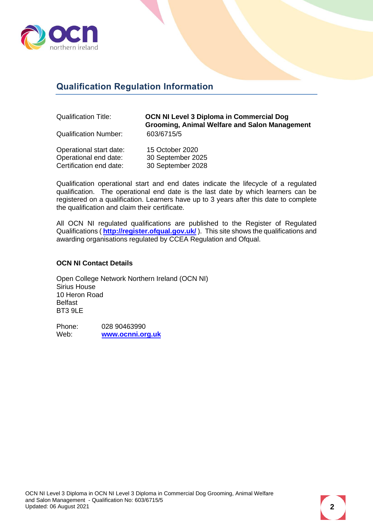

## <span id="page-1-0"></span>**Qualification Regulation Information**

Qualification Title: **OCN NI Level 3 Diploma in Commercial Dog Grooming, Animal Welfare and Salon Management** Qualification Number: 603/6715/5

| Operational start date: | 15 October 2020   |
|-------------------------|-------------------|
| Operational end date:   | 30 September 2025 |
| Certification end date: | 30 September 2028 |

Qualification operational start and end dates indicate the lifecycle of a regulated qualification. The operational end date is the last date by which learners can be registered on a qualification. Learners have up to 3 years after this date to complete the qualification and claim their certificate.

All OCN NI regulated qualifications are published to the Register of Regulated Qualifications ( **<http://register.ofqual.gov.uk/>** ). This site shows the qualifications and awarding organisations regulated by CCEA Regulation and Ofqual.

#### **OCN NI Contact Details**

Open College Network Northern Ireland (OCN NI) Sirius House 10 Heron Road Belfast BT3 9LE

Phone: 028 90463990<br>
Web: www.ocnni.or Web: **[www.ocnni.org.uk](http://www.ocnni.org.uk/)**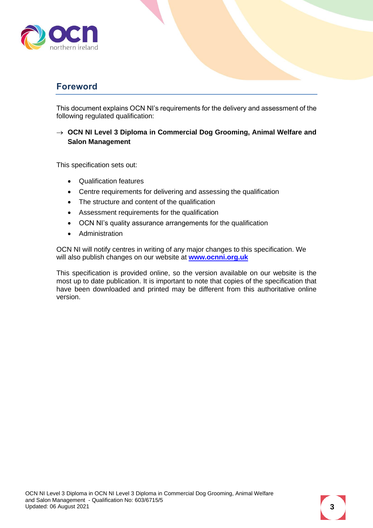

### <span id="page-2-0"></span>**Foreword**

This document explains OCN NI's requirements for the delivery and assessment of the following regulated qualification:

#### → **OCN NI Level 3 Diploma in Commercial Dog Grooming, Animal Welfare and Salon Management**

This specification sets out:

- Qualification features
- Centre requirements for delivering and assessing the qualification
- The structure and content of the qualification
- Assessment requirements for the qualification
- OCN NI's quality assurance arrangements for the qualification
- Administration

OCN NI will notify centres in writing of any major changes to this specification. We will also publish changes on our website at **[www.ocnni.org.uk](http://www.ocnni.org.uk/)**

This specification is provided online, so the version available on our website is the most up to date publication. It is important to note that copies of the specification that have been downloaded and printed may be different from this authoritative online version.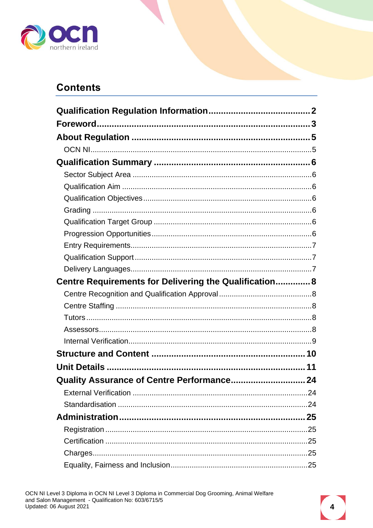

## **Contents**

| Centre Requirements for Delivering the Qualification 8 |  |
|--------------------------------------------------------|--|
|                                                        |  |
|                                                        |  |
|                                                        |  |
|                                                        |  |
|                                                        |  |
|                                                        |  |
|                                                        |  |
| Quality Assurance of Centre Performance 24             |  |
|                                                        |  |
|                                                        |  |
|                                                        |  |
|                                                        |  |
|                                                        |  |
|                                                        |  |
|                                                        |  |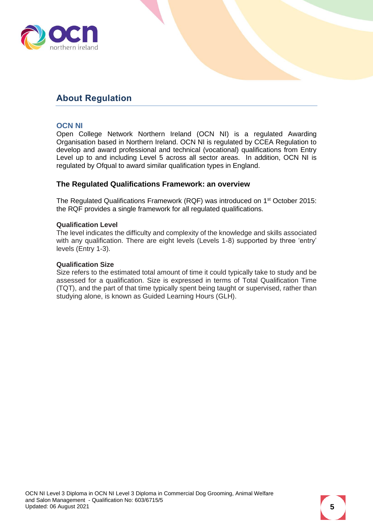

## <span id="page-4-0"></span>**About Regulation**

#### <span id="page-4-1"></span>**OCN NI**

Open College Network Northern Ireland (OCN NI) is a regulated Awarding Organisation based in Northern Ireland. OCN NI is regulated by CCEA Regulation to develop and award professional and technical (vocational) qualifications from Entry Level up to and including Level 5 across all sector areas. In addition, OCN NI is regulated by Ofqual to award similar qualification types in England.

#### **The Regulated Qualifications Framework: an overview**

The Regulated Qualifications Framework (RQF) was introduced on 1<sup>st</sup> October 2015: the RQF provides a single framework for all regulated qualifications.

#### **Qualification Level**

The level indicates the difficulty and complexity of the knowledge and skills associated with any qualification. There are eight levels (Levels 1-8) supported by three 'entry' levels (Entry 1-3).

#### **Qualification Size**

Size refers to the estimated total amount of time it could typically take to study and be assessed for a qualification. Size is expressed in terms of Total Qualification Time (TQT), and the part of that time typically spent being taught or supervised, rather than studying alone, is known as Guided Learning Hours (GLH).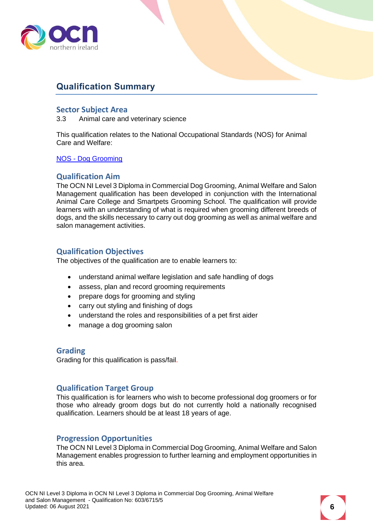

## <span id="page-5-0"></span>**Qualification Summary**

#### <span id="page-5-1"></span>**Sector Subject Area**

3.3 Animal care and veterinary science

This qualification relates to the National Occupational Standards (NOS) for Animal Care and Welfare:

NOS - [Dog Grooming](https://www.ukstandards.org.uk/Pages/results.aspx?k=dog%20grooming)

#### <span id="page-5-2"></span>**Qualification Aim**

The OCN NI Level 3 Diploma in Commercial Dog Grooming, Animal Welfare and Salon Management qualification has been developed in conjunction with the International Animal Care College and Smartpets Grooming School. The qualification will provide learners with an understanding of what is required when grooming different breeds of dogs, and the skills necessary to carry out dog grooming as well as animal welfare and salon management activities.

#### <span id="page-5-3"></span>**Qualification Objectives**

The objectives of the qualification are to enable learners to:

- understand animal welfare legislation and safe handling of dogs
- assess, plan and record grooming requirements
- prepare dogs for grooming and styling
- carry out styling and finishing of dogs
- understand the roles and responsibilities of a pet first aider
- manage a dog grooming salon

#### <span id="page-5-4"></span>**Grading**

Grading for this qualification is pass/fail.

#### <span id="page-5-5"></span>**Qualification Target Group**

This qualification is for learners who wish to become professional dog groomers or for those who already groom dogs but do not currently hold a nationally recognised qualification. Learners should be at least 18 years of age.

#### <span id="page-5-6"></span>**Progression Opportunities**

The OCN NI Level 3 Diploma in Commercial Dog Grooming, Animal Welfare and Salon Management enables progression to further learning and employment opportunities in this area.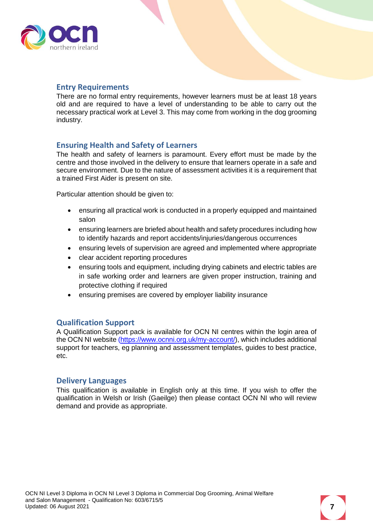

#### <span id="page-6-0"></span>**Entry Requirements**

There are no formal entry requirements, however learners must be at least 18 years old and are required to have a level of understanding to be able to carry out the necessary practical work at Level 3. This may come from working in the dog grooming industry.

#### **Ensuring Health and Safety of Learners**

The health and safety of learners is paramount. Every effort must be made by the centre and those involved in the delivery to ensure that learners operate in a safe and secure environment. Due to the nature of assessment activities it is a requirement that a trained First Aider is present on site.

Particular attention should be given to:

- ensuring all practical work is conducted in a properly equipped and maintained salon
- ensuring learners are briefed about health and safety procedures including how to identify hazards and report accidents/injuries/dangerous occurrences
- ensuring levels of supervision are agreed and implemented where appropriate
- clear accident reporting procedures
- ensuring tools and equipment, including drying cabinets and electric tables are in safe working order and learners are given proper instruction, training and protective clothing if required
- ensuring premises are covered by employer liability insurance

#### <span id="page-6-1"></span>**Qualification Support**

A Qualification Support pack is available for OCN NI centres within the login area of the OCN NI website [\(https://www.ocnni.org.uk/my-account/\)](https://www.ocnni.org.uk/my-account/), which includes additional support for teachers, eg planning and assessment templates, guides to best practice, etc.

#### <span id="page-6-2"></span>**Delivery Languages**

This qualification is available in English only at this time. If you wish to offer the qualification in Welsh or Irish (Gaeilge) then please contact OCN NI who will review demand and provide as appropriate.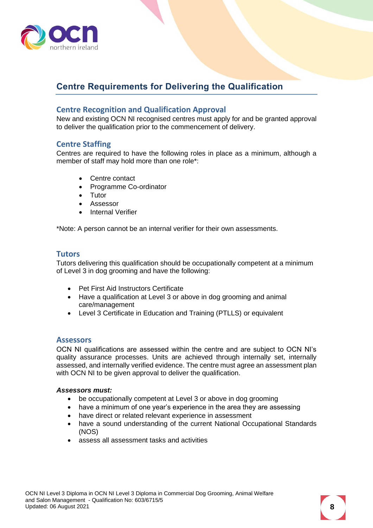

## <span id="page-7-0"></span>**Centre Requirements for Delivering the Qualification**

#### <span id="page-7-1"></span>**Centre Recognition and Qualification Approval**

New and existing OCN NI recognised centres must apply for and be granted approval to deliver the qualification prior to the commencement of delivery.

#### <span id="page-7-2"></span>**Centre Staffing**

Centres are required to have the following roles in place as a minimum, although a member of staff may hold more than one role\*:

- Centre contact
- Programme Co-ordinator
- Tutor
- Assessor
- Internal Verifier

\*Note: A person cannot be an internal verifier for their own assessments.

#### <span id="page-7-3"></span>**Tutors**

Tutors delivering this qualification should be occupationally competent at a minimum of Level 3 in dog grooming and have the following:

- Pet First Aid Instructors Certificate
- Have a qualification at Level 3 or above in dog grooming and animal care/management
- Level 3 Certificate in Education and Training (PTLLS) or equivalent

#### <span id="page-7-4"></span>**Assessors**

OCN NI qualifications are assessed within the centre and are subject to OCN NI's quality assurance processes. Units are achieved through internally set, internally assessed, and internally verified evidence. The centre must agree an assessment plan with OCN NI to be given approval to deliver the qualification.

#### *Assessors must:*

- be occupationally competent at Level 3 or above in dog grooming
- have a minimum of one year's experience in the area they are assessing
- have direct or related relevant experience in assessment
- have a sound understanding of the current National Occupational Standards (NOS)
- assess all assessment tasks and activities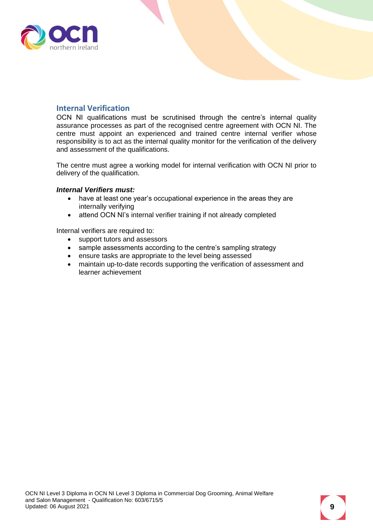

#### <span id="page-8-0"></span>**Internal Verification**

OCN NI qualifications must be scrutinised through the centre's internal quality assurance processes as part of the recognised centre agreement with OCN NI. The centre must appoint an experienced and trained centre internal verifier whose responsibility is to act as the internal quality monitor for the verification of the delivery and assessment of the qualifications.

The centre must agree a working model for internal verification with OCN NI prior to delivery of the qualification.

#### *Internal Verifiers must:*

- have at least one year's occupational experience in the areas they are internally verifying
- attend OCN NI's internal verifier training if not already completed

Internal verifiers are required to:

- support tutors and assessors
- sample assessments according to the centre's sampling strategy
- ensure tasks are appropriate to the level being assessed
- maintain up-to-date records supporting the verification of assessment and learner achievement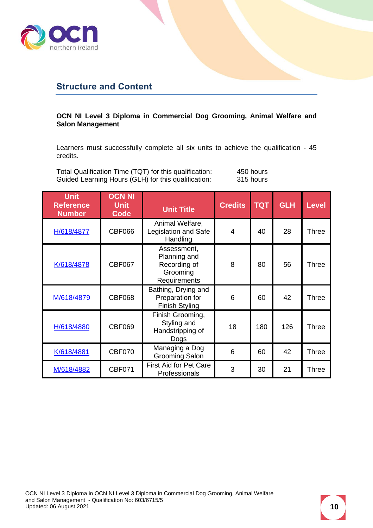

## <span id="page-9-0"></span>**Structure and Content**

#### **OCN NI Level 3 Diploma in Commercial Dog Grooming, Animal Welfare and Salon Management**

Learners must successfully complete all six units to achieve the qualification - 45 credits.

Total Qualification Time (TQT) for this qualification: 450 hours<br>Guided Learning Hours (GLH) for this qualification: 315 hours Guided Learning Hours (GLH) for this qualification:

| Unit<br><b>Reference</b><br><b>Number</b> | <b>OCN NI</b><br><b>Unit</b><br><b>Code</b> | <b>Unit Title</b>                                                       | <b>Credits</b> | <b>TQT</b> | <b>GLH</b> | <b>Level</b> |
|-------------------------------------------|---------------------------------------------|-------------------------------------------------------------------------|----------------|------------|------------|--------------|
| H/618/4877                                | <b>CBF066</b>                               | Animal Welfare,<br>Legislation and Safe<br>Handling                     | 4              | 40         | 28         | <b>Three</b> |
| K/618/4878                                | <b>CBF067</b>                               | Assessment,<br>Planning and<br>Recording of<br>Grooming<br>Requirements | 8              | 80         | 56         | <b>Three</b> |
| M/618/4879                                | <b>CBF068</b>                               | Bathing, Drying and<br>Preparation for<br>Finish Styling                | 6              | 60         | 42         | <b>Three</b> |
| H/618/4880                                | <b>CBF069</b>                               | Finish Grooming,<br>Styling and<br>Handstripping of<br>Dogs             | 18             | 180        | 126        | <b>Three</b> |
| K/618/4881                                | CBF070                                      | Managing a Dog<br><b>Grooming Salon</b>                                 | 6              | 60         | 42         | <b>Three</b> |
| M/618/4882                                | <b>CBF071</b>                               | <b>First Aid for Pet Care</b><br>Professionals                          | 3              | 30         | 21         | <b>Three</b> |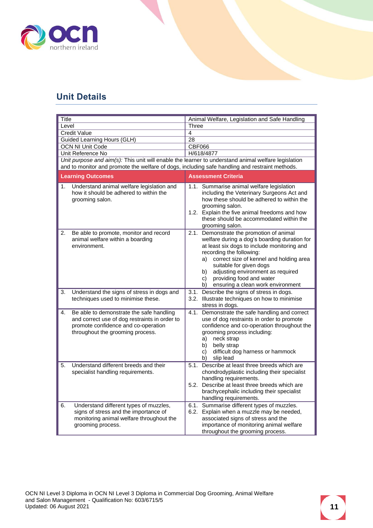

## <span id="page-10-0"></span>**Unit Details**

<span id="page-10-1"></span>

| Title               |                                                                                                                                                                      | Animal Welfare, Legislation and Safe Handling |                                                                                                                                                                                                                                                                                                                                            |  |
|---------------------|----------------------------------------------------------------------------------------------------------------------------------------------------------------------|-----------------------------------------------|--------------------------------------------------------------------------------------------------------------------------------------------------------------------------------------------------------------------------------------------------------------------------------------------------------------------------------------------|--|
| Level               |                                                                                                                                                                      | Three<br>4                                    |                                                                                                                                                                                                                                                                                                                                            |  |
| <b>Credit Value</b> |                                                                                                                                                                      | 28                                            |                                                                                                                                                                                                                                                                                                                                            |  |
|                     | Guided Learning Hours (GLH)<br><b>OCN NI Unit Code</b>                                                                                                               | CBF066                                        |                                                                                                                                                                                                                                                                                                                                            |  |
|                     | Unit Reference No                                                                                                                                                    | H/618/4877                                    |                                                                                                                                                                                                                                                                                                                                            |  |
|                     | Unit purpose and aim(s): This unit will enable the learner to understand animal welfare legislation                                                                  |                                               |                                                                                                                                                                                                                                                                                                                                            |  |
|                     | and to monitor and promote the welfare of dogs, including safe handling and restraint methods.                                                                       |                                               |                                                                                                                                                                                                                                                                                                                                            |  |
|                     |                                                                                                                                                                      |                                               |                                                                                                                                                                                                                                                                                                                                            |  |
|                     | <b>Learning Outcomes</b>                                                                                                                                             | <b>Assessment Criteria</b>                    |                                                                                                                                                                                                                                                                                                                                            |  |
| 1.                  | Understand animal welfare legislation and<br>how it should be adhered to within the<br>grooming salon.                                                               |                                               | 1.1. Summarise animal welfare legislation<br>including the Veterinary Surgeons Act and<br>how these should be adhered to within the<br>grooming salon.<br>1.2. Explain the five animal freedoms and how<br>these should be accommodated within the<br>grooming salon.                                                                      |  |
| 2.                  | Be able to promote, monitor and record<br>animal welfare within a boarding<br>environment.                                                                           | 2.1.<br>a)<br>b)<br>c)<br>b)                  | Demonstrate the promotion of animal<br>welfare during a dog's boarding duration for<br>at least six dogs to include monitoring and<br>recording the following:<br>correct size of kennel and holding area<br>suitable for given dogs<br>adjusting environment as required<br>providing food and water<br>ensuring a clean work environment |  |
| 3.                  | Understand the signs of stress in dogs and<br>techniques used to minimise these.                                                                                     | stress in dogs.                               | 3.1. Describe the signs of stress in dogs.<br>3.2. Illustrate techniques on how to minimise                                                                                                                                                                                                                                                |  |
| 4.                  | Be able to demonstrate the safe handling<br>and correct use of dog restraints in order to<br>promote confidence and co-operation<br>throughout the grooming process. | 4.1.<br>a)<br>b)<br>C)<br>b)                  | Demonstrate the safe handling and correct<br>use of dog restraints in order to promote<br>confidence and co-operation throughout the<br>grooming process including:<br>neck strap<br>belly strap<br>difficult dog harness or hammock<br>slip lead                                                                                          |  |
| 5.                  | Understand different breeds and their<br>specialist handling requirements.                                                                                           | 5.1.                                          | Describe at least three breeds which are<br>chondrodyplastic including their specialist<br>handling requirements.<br>5.2. Describe at least three breeds which are<br>brachycephalic including their specialist<br>handling requirements.                                                                                                  |  |
| 6.                  | Understand different types of muzzles,<br>signs of stress and the importance of<br>monitoring animal welfare throughout the<br>grooming process.                     |                                               | 6.1. Summarise different types of muzzles.<br>6.2. Explain when a muzzle may be needed,<br>associated signs of stress and the<br>importance of monitoring animal welfare<br>throughout the grooming process.                                                                                                                               |  |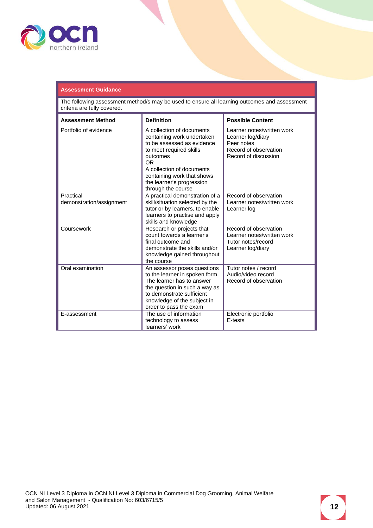

#### **Assessment Guidance**

| <b>Assessment Method</b>              | <b>Definition</b>                                                                                                                                                                                                                                 | <b>Possible Content</b>                                                                                        |
|---------------------------------------|---------------------------------------------------------------------------------------------------------------------------------------------------------------------------------------------------------------------------------------------------|----------------------------------------------------------------------------------------------------------------|
| Portfolio of evidence                 | A collection of documents<br>containing work undertaken<br>to be assessed as evidence<br>to meet required skills<br>outcomes<br>OR.<br>A collection of documents<br>containing work that shows<br>the learner's progression<br>through the course | Learner notes/written work<br>Learner log/diary<br>Peer notes<br>Record of observation<br>Record of discussion |
| Practical<br>demonstration/assignment | A practical demonstration of a<br>skill/situation selected by the<br>tutor or by learners, to enable<br>learners to practise and apply<br>skills and knowledge                                                                                    | Record of observation<br>Learner notes/written work<br>Learner log                                             |
| Coursework                            | Research or projects that<br>count towards a learner's<br>final outcome and<br>demonstrate the skills and/or<br>knowledge gained throughout<br>the course                                                                                         | Record of observation<br>Learner notes/written work<br>Tutor notes/record<br>Learner log/diary                 |
| Oral examination                      | An assessor poses questions<br>to the learner in spoken form.<br>The learner has to answer<br>the question in such a way as<br>to demonstrate sufficient<br>knowledge of the subject in<br>order to pass the exam                                 | Tutor notes / record<br>Audio/video record<br>Record of observation                                            |
| E-assessment                          | The use of information<br>technology to assess<br>learners' work                                                                                                                                                                                  | Electronic portfolio<br>E-tests                                                                                |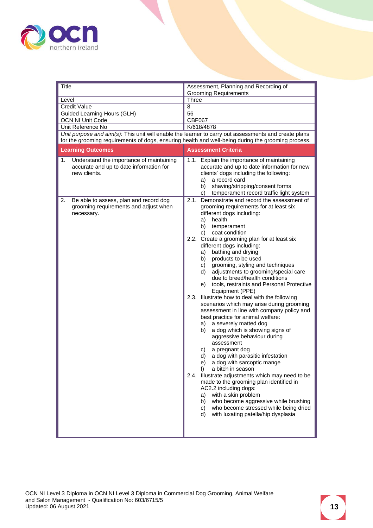

<span id="page-12-0"></span>

| Title<br>Level                                                                                            | Assessment, Planning and Recording of<br><b>Grooming Requirements</b><br><b>Three</b>                                                                                                                                                                                                                                                                                                                                                                                                                                                                                                                                                                                                                                                                                                                                                                                                                                                                                                                                                                                                                                                                                                                                                                       |
|-----------------------------------------------------------------------------------------------------------|-------------------------------------------------------------------------------------------------------------------------------------------------------------------------------------------------------------------------------------------------------------------------------------------------------------------------------------------------------------------------------------------------------------------------------------------------------------------------------------------------------------------------------------------------------------------------------------------------------------------------------------------------------------------------------------------------------------------------------------------------------------------------------------------------------------------------------------------------------------------------------------------------------------------------------------------------------------------------------------------------------------------------------------------------------------------------------------------------------------------------------------------------------------------------------------------------------------------------------------------------------------|
| <b>Credit Value</b>                                                                                       | 8                                                                                                                                                                                                                                                                                                                                                                                                                                                                                                                                                                                                                                                                                                                                                                                                                                                                                                                                                                                                                                                                                                                                                                                                                                                           |
| Guided Learning Hours (GLH)                                                                               | 56                                                                                                                                                                                                                                                                                                                                                                                                                                                                                                                                                                                                                                                                                                                                                                                                                                                                                                                                                                                                                                                                                                                                                                                                                                                          |
| <b>OCN NI Unit Code</b>                                                                                   | <b>CBF067</b>                                                                                                                                                                                                                                                                                                                                                                                                                                                                                                                                                                                                                                                                                                                                                                                                                                                                                                                                                                                                                                                                                                                                                                                                                                               |
| Unit Reference No                                                                                         | K/618/4878                                                                                                                                                                                                                                                                                                                                                                                                                                                                                                                                                                                                                                                                                                                                                                                                                                                                                                                                                                                                                                                                                                                                                                                                                                                  |
|                                                                                                           | Unit purpose and aim(s): This unit will enable the learner to carry out assessments and create plans                                                                                                                                                                                                                                                                                                                                                                                                                                                                                                                                                                                                                                                                                                                                                                                                                                                                                                                                                                                                                                                                                                                                                        |
|                                                                                                           | for the grooming requirements of dogs, ensuring health and well-being during the grooming process.                                                                                                                                                                                                                                                                                                                                                                                                                                                                                                                                                                                                                                                                                                                                                                                                                                                                                                                                                                                                                                                                                                                                                          |
| <b>Learning Outcomes</b>                                                                                  | <b>Assessment Criteria</b>                                                                                                                                                                                                                                                                                                                                                                                                                                                                                                                                                                                                                                                                                                                                                                                                                                                                                                                                                                                                                                                                                                                                                                                                                                  |
| Understand the importance of maintaining<br>1.<br>accurate and up to date information for<br>new clients. | 1.1. Explain the importance of maintaining<br>accurate and up to date information for new<br>clients' dogs including the following:<br>a record card<br>a)<br>shaving/stripping/consent forms<br>b)<br>temperament record traffic light system<br>C)                                                                                                                                                                                                                                                                                                                                                                                                                                                                                                                                                                                                                                                                                                                                                                                                                                                                                                                                                                                                        |
| 2.<br>Be able to assess, plan and record dog<br>grooming requirements and adjust when<br>necessary.       | 2.1. Demonstrate and record the assessment of<br>grooming requirements for at least six<br>different dogs including:<br>health<br>a)<br>b)<br>temperament<br>coat condition<br>C)<br>2.2. Create a grooming plan for at least six<br>different dogs including:<br>bathing and drying<br>a)<br>products to be used<br>b)<br>grooming, styling and techniques<br>C)<br>adjustments to grooming/special care<br>d)<br>due to breed/health conditions<br>tools, restraints and Personal Protective<br>e)<br>Equipment (PPE)<br>2.3. Illustrate how to deal with the following<br>scenarios which may arise during grooming<br>assessment in line with company policy and<br>best practice for animal welfare:<br>a) a severely matted dog<br>a dog which is showing signs of<br>b)<br>aggressive behaviour during<br>assessment<br>a pregnant dog<br>C)<br>a dog with parasitic infestation<br>d)<br>a dog with sarcoptic mange<br>e)<br>f)<br>a bitch in season<br>2.4. Illustrate adjustments which may need to be<br>made to the grooming plan identified in<br>AC2.2 including dogs:<br>with a skin problem<br>a)<br>who become aggressive while brushing<br>b)<br>who become stressed while being dried<br>C)<br>with luxating patella/hip dysplasia<br>d) |
|                                                                                                           |                                                                                                                                                                                                                                                                                                                                                                                                                                                                                                                                                                                                                                                                                                                                                                                                                                                                                                                                                                                                                                                                                                                                                                                                                                                             |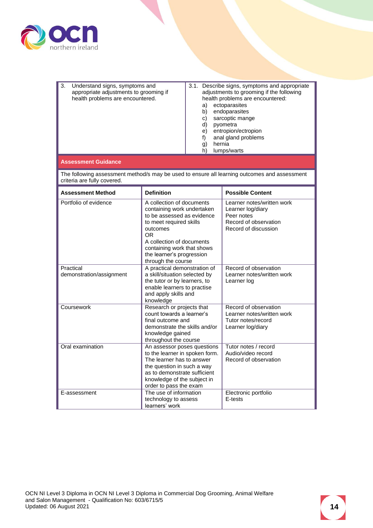

| 3. | Understand signs, symptoms and<br>appropriate adjustments to grooming if<br>health problems are encountered. | 3.1. Describe signs, symptoms and appropriate<br>adjustments to grooming if the following<br>health problems are encountered:<br>ectoparasites<br>a)<br>endoparasites<br>b)<br>sarcoptic mange<br>C)<br>d)<br>pyometra<br>entropion/ectropion<br>e)<br>anal gland problems<br>f)<br>hernia<br>g)<br>lumps/warts<br>h) |
|----|--------------------------------------------------------------------------------------------------------------|-----------------------------------------------------------------------------------------------------------------------------------------------------------------------------------------------------------------------------------------------------------------------------------------------------------------------|
|    | Accordmant Cuidance                                                                                          |                                                                                                                                                                                                                                                                                                                       |

#### **Assessment Guidance**

| <b>Assessment Method</b>              | <b>Definition</b>                                                                                                                                                                                                                                       | <b>Possible Content</b>                                                                                        |
|---------------------------------------|---------------------------------------------------------------------------------------------------------------------------------------------------------------------------------------------------------------------------------------------------------|----------------------------------------------------------------------------------------------------------------|
| Portfolio of evidence                 | A collection of documents<br>containing work undertaken<br>to be assessed as evidence<br>to meet required skills<br>outcomes<br><b>OR</b><br>A collection of documents<br>containing work that shows<br>the learner's progression<br>through the course | Learner notes/written work<br>Learner log/diary<br>Peer notes<br>Record of observation<br>Record of discussion |
| Practical<br>demonstration/assignment | A practical demonstration of<br>a skill/situation selected by<br>the tutor or by learners, to<br>enable learners to practise<br>and apply skills and<br>knowledge                                                                                       | Record of observation<br>Learner notes/written work<br>Learner log                                             |
| Coursework                            | Research or projects that<br>count towards a learner's<br>final outcome and<br>demonstrate the skills and/or<br>knowledge gained<br>throughout the course                                                                                               | Record of observation<br>Learner notes/written work<br>Tutor notes/record<br>Learner log/diary                 |
| Oral examination                      | An assessor poses questions<br>to the learner in spoken form.<br>The learner has to answer<br>the question in such a way<br>as to demonstrate sufficient<br>knowledge of the subject in<br>order to pass the exam                                       | Tutor notes / record<br>Audio/video record<br>Record of observation                                            |
| E-assessment                          | The use of information<br>technology to assess<br>learners' work                                                                                                                                                                                        | Electronic portfolio<br>E-tests                                                                                |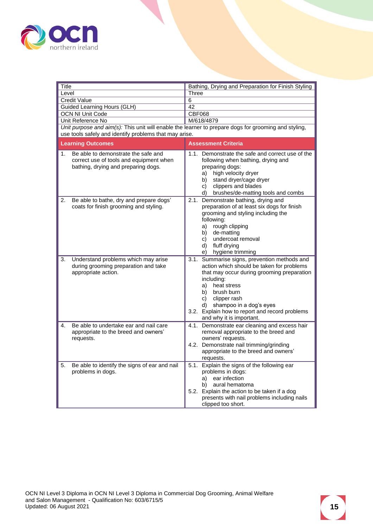

<span id="page-14-0"></span>

| Title                                                                                                                       | Bathing, Drying and Preparation for Finish Styling                                                                                                                                                                                                                                                                         |  |
|-----------------------------------------------------------------------------------------------------------------------------|----------------------------------------------------------------------------------------------------------------------------------------------------------------------------------------------------------------------------------------------------------------------------------------------------------------------------|--|
| Level                                                                                                                       | <b>Three</b>                                                                                                                                                                                                                                                                                                               |  |
| <b>Credit Value</b>                                                                                                         | 6                                                                                                                                                                                                                                                                                                                          |  |
| <b>Guided Learning Hours (GLH)</b>                                                                                          | 42                                                                                                                                                                                                                                                                                                                         |  |
| <b>OCN NI Unit Code</b>                                                                                                     | <b>CBF068</b>                                                                                                                                                                                                                                                                                                              |  |
| Unit Reference No                                                                                                           | M/618/4879                                                                                                                                                                                                                                                                                                                 |  |
| use tools safely and identify problems that may arise.                                                                      | Unit purpose and aim(s): This unit will enable the learner to prepare dogs for grooming and styling,                                                                                                                                                                                                                       |  |
| <b>Learning Outcomes</b>                                                                                                    | <b>Assessment Criteria</b>                                                                                                                                                                                                                                                                                                 |  |
| Be able to demonstrate the safe and<br>1.<br>correct use of tools and equipment when<br>bathing, drying and preparing dogs. | 1.1. Demonstrate the safe and correct use of the<br>following when bathing, drying and<br>preparing dogs:<br>high velocity dryer<br>a)<br>stand dryer/cage dryer<br>b)<br>clippers and blades<br>c)<br>brushes/de-matting tools and combs<br>d)                                                                            |  |
| Be able to bathe, dry and prepare dogs'<br>2.<br>coats for finish grooming and styling.                                     | Demonstrate bathing, drying and<br>2.1.<br>preparation of at least six dogs for finish<br>grooming and styling including the<br>following:<br>rough clipping<br>a)<br>b) de-matting<br>c) undercoat removal<br>d) fluff drying<br>e) hygiene trimming                                                                      |  |
| Understand problems which may arise<br>3.<br>during grooming preparation and take<br>appropriate action.                    | 3.1. Summarise signs, prevention methods and<br>action which should be taken for problems<br>that may occur during grooming preparation<br>including:<br>a) heat stress<br>b) brush burn<br>clipper rash<br>c)<br>d) shampoo in a dog's eyes<br>3.2. Explain how to report and record problems<br>and why it is important. |  |
| Be able to undertake ear and nail care<br>4.<br>appropriate to the breed and owners'<br>requests.                           | 4.1. Demonstrate ear cleaning and excess hair<br>removal appropriate to the breed and<br>owners' requests.<br>4.2. Demonstrate nail trimming/grinding<br>appropriate to the breed and owners'<br>requests.                                                                                                                 |  |
| Be able to identify the signs of ear and nail<br>5.<br>problems in dogs.                                                    | 5.1. Explain the signs of the following ear<br>problems in dogs:<br>a) ear infection<br>b) aural hematoma<br>5.2. Explain the action to be taken if a dog<br>presents with nail problems including nails<br>clipped too short.                                                                                             |  |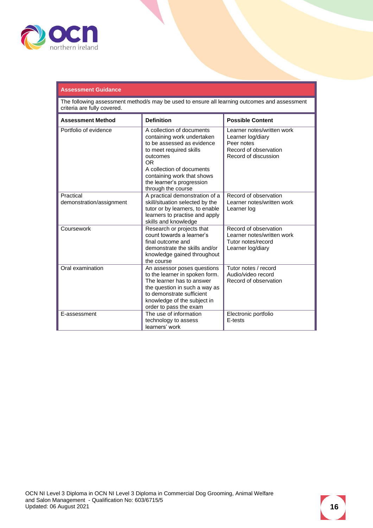

#### **Assessment Guidance**

| <b>Assessment Method</b>              | <b>Definition</b>                                                                                                                                                                                                                                 | <b>Possible Content</b>                                                                                        |
|---------------------------------------|---------------------------------------------------------------------------------------------------------------------------------------------------------------------------------------------------------------------------------------------------|----------------------------------------------------------------------------------------------------------------|
| Portfolio of evidence                 | A collection of documents<br>containing work undertaken<br>to be assessed as evidence<br>to meet required skills<br>outcomes<br>OR.<br>A collection of documents<br>containing work that shows<br>the learner's progression<br>through the course | Learner notes/written work<br>Learner log/diary<br>Peer notes<br>Record of observation<br>Record of discussion |
| Practical<br>demonstration/assignment | A practical demonstration of a<br>skill/situation selected by the<br>tutor or by learners, to enable<br>learners to practise and apply<br>skills and knowledge                                                                                    | Record of observation<br>Learner notes/written work<br>Learner log                                             |
| Coursework                            | Research or projects that<br>count towards a learner's<br>final outcome and<br>demonstrate the skills and/or<br>knowledge gained throughout<br>the course                                                                                         | Record of observation<br>Learner notes/written work<br>Tutor notes/record<br>Learner log/diary                 |
| Oral examination                      | An assessor poses questions<br>to the learner in spoken form.<br>The learner has to answer<br>the question in such a way as<br>to demonstrate sufficient<br>knowledge of the subject in<br>order to pass the exam                                 | Tutor notes / record<br>Audio/video record<br>Record of observation                                            |
| E-assessment                          | The use of information<br>technology to assess<br>learners' work                                                                                                                                                                                  | Electronic portfolio<br>E-tests                                                                                |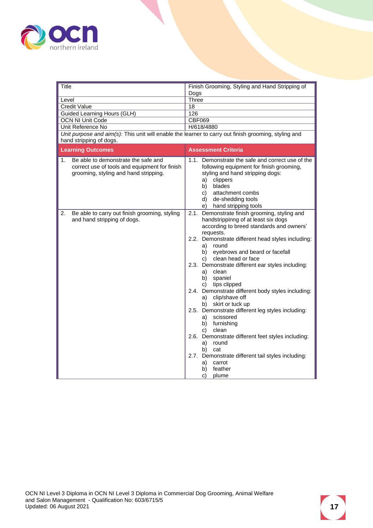

<span id="page-16-0"></span>

| Title                                                                                                                               | Finish Grooming, Styling and Hand Stripping of                                                                                                                                                                                                  |
|-------------------------------------------------------------------------------------------------------------------------------------|-------------------------------------------------------------------------------------------------------------------------------------------------------------------------------------------------------------------------------------------------|
|                                                                                                                                     | Dogs                                                                                                                                                                                                                                            |
| Level                                                                                                                               | <b>Three</b>                                                                                                                                                                                                                                    |
| <b>Credit Value</b>                                                                                                                 | 18                                                                                                                                                                                                                                              |
| Guided Learning Hours (GLH)                                                                                                         | 126                                                                                                                                                                                                                                             |
| <b>OCN NI Unit Code</b>                                                                                                             | CBF069                                                                                                                                                                                                                                          |
| Unit Reference No                                                                                                                   | H/618/4880                                                                                                                                                                                                                                      |
| Unit purpose and aim(s): This unit will enable the learner to carry out finish grooming, styling and<br>hand stripping of dogs.     |                                                                                                                                                                                                                                                 |
| <b>Learning Outcomes</b>                                                                                                            | <b>Assessment Criteria</b>                                                                                                                                                                                                                      |
| Be able to demonstrate the safe and<br>1.<br>correct use of tools and equipment for finish<br>grooming, styling and hand stripping. | 1.1. Demonstrate the safe and correct use of the<br>following equipment for finish grooming,<br>styling and hand stripping dogs:<br>clippers<br>a)<br>blades<br>b)<br>attachment combs<br>C)<br>d) de-shedding tools<br>e) hand stripping tools |
| 2.<br>Be able to carry out finish grooming, styling<br>and hand stripping of dogs.                                                  | Demonstrate finish grooming, styling and<br>2.1.<br>handstrippinng of at least six dogs<br>according to breed standards and owners'<br>requests.                                                                                                |
|                                                                                                                                     | 2.2. Demonstrate different head styles including:<br>a)<br>round<br>eyebrows and beard or facefall<br>b)<br>c) clean head or face                                                                                                               |
|                                                                                                                                     | 2.3. Demonstrate different ear styles including:<br>a) clean<br>spaniel<br>b)<br>tips clipped<br>C)                                                                                                                                             |
|                                                                                                                                     | 2.4. Demonstrate different body styles including:<br>clip/shave off<br>a)<br>skirt or tuck up<br>b)                                                                                                                                             |
|                                                                                                                                     | 2.5. Demonstrate different leg styles including:<br>scissored<br>a)<br>b) furnishing<br>c) clean                                                                                                                                                |
|                                                                                                                                     | 2.6. Demonstrate different feet styles including:<br>a) round<br>cat<br>b)                                                                                                                                                                      |
|                                                                                                                                     | 2.7. Demonstrate different tail styles including:<br>a)<br>carrot<br>feather<br>b)<br>plume<br>C)                                                                                                                                               |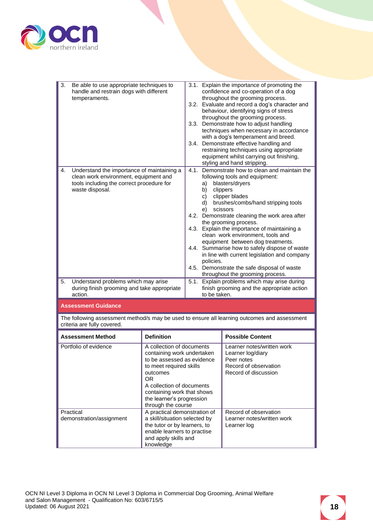

| 3.1. Explain the importance of promoting the<br>3.<br>Be able to use appropriate techniques to<br>handle and restrain dogs with different<br>confidence and co-operation of a dog<br>throughout the grooming process.<br>temperaments.<br>3.2. Evaluate and record a dog's character and<br>behaviour, identifying signs of stress<br>throughout the grooming process.<br>3.3. Demonstrate how to adjust handling<br>techniques when necessary in accordance<br>with a dog's temperament and breed.<br>3.4. Demonstrate effective handling and<br>restraining techniques using appropriate<br>equipment whilst carrying out finishing,<br>styling and hand stripping.<br>4.1. Demonstrate how to clean and maintain the<br>Understand the importance of maintaining a<br>4.<br>clean work environment, equipment and<br>following tools and equipment:<br>tools including the correct procedure for<br>blasters/dryers<br>a)<br>waste disposal.<br>clippers<br>b)<br>clipper blades<br>c)<br>brushes/combs/hand stripping tools<br>d)<br>scissors<br>e)<br>4.2. Demonstrate cleaning the work area after<br>the grooming process.<br>4.3. Explain the importance of maintaining a<br>clean work environment, tools and<br>equipment between dog treatments.<br>4.4. Summarise how to safely dispose of waste<br>in line with current legislation and company<br>policies.<br>4.5. Demonstrate the safe disposal of waste<br>throughout the grooming process.<br>Understand problems which may arise<br>5.1. Explain problems which may arise during<br>5.<br>finish grooming and the appropriate action<br>during finish grooming and take appropriate<br>action.<br>to be taken.<br><b>Assessment Guidance</b> |  |  |  |
|-----------------------------------------------------------------------------------------------------------------------------------------------------------------------------------------------------------------------------------------------------------------------------------------------------------------------------------------------------------------------------------------------------------------------------------------------------------------------------------------------------------------------------------------------------------------------------------------------------------------------------------------------------------------------------------------------------------------------------------------------------------------------------------------------------------------------------------------------------------------------------------------------------------------------------------------------------------------------------------------------------------------------------------------------------------------------------------------------------------------------------------------------------------------------------------------------------------------------------------------------------------------------------------------------------------------------------------------------------------------------------------------------------------------------------------------------------------------------------------------------------------------------------------------------------------------------------------------------------------------------------------------------------------------------------------------------------------------|--|--|--|
|                                                                                                                                                                                                                                                                                                                                                                                                                                                                                                                                                                                                                                                                                                                                                                                                                                                                                                                                                                                                                                                                                                                                                                                                                                                                                                                                                                                                                                                                                                                                                                                                                                                                                                                 |  |  |  |
|                                                                                                                                                                                                                                                                                                                                                                                                                                                                                                                                                                                                                                                                                                                                                                                                                                                                                                                                                                                                                                                                                                                                                                                                                                                                                                                                                                                                                                                                                                                                                                                                                                                                                                                 |  |  |  |
|                                                                                                                                                                                                                                                                                                                                                                                                                                                                                                                                                                                                                                                                                                                                                                                                                                                                                                                                                                                                                                                                                                                                                                                                                                                                                                                                                                                                                                                                                                                                                                                                                                                                                                                 |  |  |  |
|                                                                                                                                                                                                                                                                                                                                                                                                                                                                                                                                                                                                                                                                                                                                                                                                                                                                                                                                                                                                                                                                                                                                                                                                                                                                                                                                                                                                                                                                                                                                                                                                                                                                                                                 |  |  |  |

| <b>Assessment Method</b>              | <b>Definition</b>                                                                                                                                                                                                                                 | <b>Possible Content</b>                                                                                        |
|---------------------------------------|---------------------------------------------------------------------------------------------------------------------------------------------------------------------------------------------------------------------------------------------------|----------------------------------------------------------------------------------------------------------------|
| Portfolio of evidence                 | A collection of documents<br>containing work undertaken<br>to be assessed as evidence<br>to meet required skills<br>outcomes<br>OR.<br>A collection of documents<br>containing work that shows<br>the learner's progression<br>through the course | Learner notes/written work<br>Learner log/diary<br>Peer notes<br>Record of observation<br>Record of discussion |
| Practical<br>demonstration/assignment | A practical demonstration of<br>a skill/situation selected by<br>the tutor or by learners, to<br>enable learners to practise<br>and apply skills and<br>knowledge                                                                                 | Record of observation<br>Learner notes/written work<br>Learner log                                             |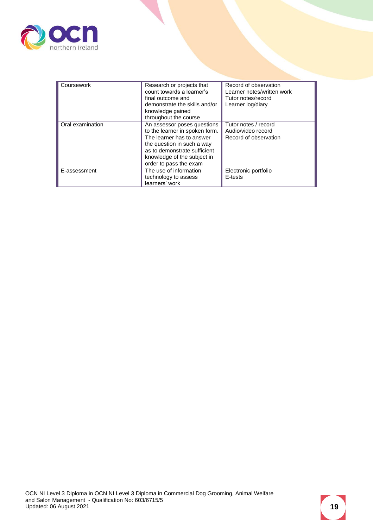

| Coursework       | Research or projects that<br>count towards a learner's<br>final outcome and<br>demonstrate the skills and/or<br>knowledge gained<br>throughout the course                                                         | Record of observation<br>Learner notes/written work<br>Tutor notes/record<br>Learner log/diary |
|------------------|-------------------------------------------------------------------------------------------------------------------------------------------------------------------------------------------------------------------|------------------------------------------------------------------------------------------------|
| Oral examination | An assessor poses questions<br>to the learner in spoken form.<br>The learner has to answer<br>the question in such a way<br>as to demonstrate sufficient<br>knowledge of the subject in<br>order to pass the exam | Tutor notes / record<br>Audio/video record<br>Record of observation                            |
| E-assessment     | The use of information<br>technology to assess<br>learners' work                                                                                                                                                  | Electronic portfolio<br>E-tests                                                                |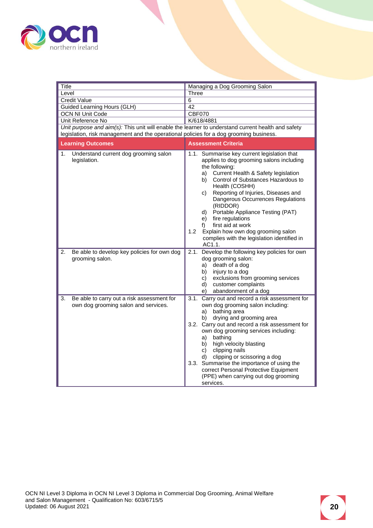

<span id="page-19-0"></span>

| Title                                                                                                                                                                                        | Managing a Dog Grooming Salon                                                                                                                                                                                                                                                                                                                                                                                                                                                                                  |  |  |
|----------------------------------------------------------------------------------------------------------------------------------------------------------------------------------------------|----------------------------------------------------------------------------------------------------------------------------------------------------------------------------------------------------------------------------------------------------------------------------------------------------------------------------------------------------------------------------------------------------------------------------------------------------------------------------------------------------------------|--|--|
| Level                                                                                                                                                                                        | Three                                                                                                                                                                                                                                                                                                                                                                                                                                                                                                          |  |  |
| <b>Credit Value</b>                                                                                                                                                                          | 6                                                                                                                                                                                                                                                                                                                                                                                                                                                                                                              |  |  |
| Guided Learning Hours (GLH)                                                                                                                                                                  | 42                                                                                                                                                                                                                                                                                                                                                                                                                                                                                                             |  |  |
| OCN NI Unit Code                                                                                                                                                                             | <b>CBF070</b>                                                                                                                                                                                                                                                                                                                                                                                                                                                                                                  |  |  |
| Unit Reference No                                                                                                                                                                            | K/618/4881                                                                                                                                                                                                                                                                                                                                                                                                                                                                                                     |  |  |
| Unit purpose and aim(s): This unit will enable the learner to understand current health and safety<br>legislation, risk management and the operational policies for a dog grooming business. |                                                                                                                                                                                                                                                                                                                                                                                                                                                                                                                |  |  |
| <b>Learning Outcomes</b>                                                                                                                                                                     | <b>Assessment Criteria</b>                                                                                                                                                                                                                                                                                                                                                                                                                                                                                     |  |  |
| 1.<br>Understand current dog grooming salon<br>legislation.                                                                                                                                  | 1.1. Summarise key current legislation that<br>applies to dog grooming salons including<br>the following:<br>a) Current Health & Safety legislation<br>Control of Substances Hazardous to<br>b)<br>Health (COSHH)<br>Reporting of Injuries, Diseases and<br>c)<br>Dangerous Occurrences Regulations<br>(RIDDOR)<br>d) Portable Appliance Testing (PAT)<br>e) fire regulations<br>first aid at work<br>f)<br>1.2<br>Explain how own dog grooming salon<br>complies with the legislation identified in<br>AC1.1. |  |  |
| Be able to develop key policies for own dog<br>2.<br>grooming salon.                                                                                                                         | 2.1. Develop the following key policies for own<br>dog grooming salon:<br>death of a dog<br>a)<br>injury to a dog<br>b)<br>exclusions from grooming services<br>C)<br>customer complaints<br>d)<br>abandonment of a dog<br>e)                                                                                                                                                                                                                                                                                  |  |  |
| 3.<br>Be able to carry out a risk assessment for<br>own dog grooming salon and services.                                                                                                     | Carry out and record a risk assessment for<br>3.1.<br>own dog grooming salon including:<br>bathing area<br>a)<br>drying and grooming area<br>b)<br>3.2. Carry out and record a risk assessment for<br>own dog grooming services including:<br>bathing<br>a)<br>b) high velocity blasting<br>clipping nails<br>c)<br>clipping or scissoring a dog<br>d)<br>3.3. Summarise the importance of using the<br>correct Personal Protective Equipment<br>(PPE) when carrying out dog grooming<br>services.             |  |  |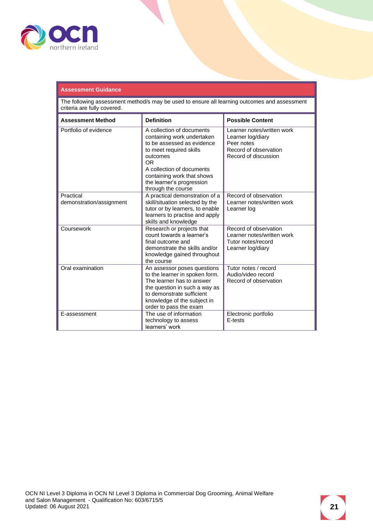

#### **Assessment Guidance**

| <b>Assessment Method</b>              | <b>Definition</b>                                                                                                                                                                                                                                 | <b>Possible Content</b>                                                                                        |
|---------------------------------------|---------------------------------------------------------------------------------------------------------------------------------------------------------------------------------------------------------------------------------------------------|----------------------------------------------------------------------------------------------------------------|
| Portfolio of evidence                 | A collection of documents<br>containing work undertaken<br>to be assessed as evidence<br>to meet required skills<br>outcomes<br>OR.<br>A collection of documents<br>containing work that shows<br>the learner's progression<br>through the course | Learner notes/written work<br>Learner log/diary<br>Peer notes<br>Record of observation<br>Record of discussion |
| Practical<br>demonstration/assignment | A practical demonstration of a<br>skill/situation selected by the<br>tutor or by learners, to enable<br>learners to practise and apply<br>skills and knowledge                                                                                    | Record of observation<br>Learner notes/written work<br>Learner log                                             |
| Coursework                            | Research or projects that<br>count towards a learner's<br>final outcome and<br>demonstrate the skills and/or<br>knowledge gained throughout<br>the course                                                                                         | Record of observation<br>Learner notes/written work<br>Tutor notes/record<br>Learner log/diary                 |
| Oral examination                      | An assessor poses questions<br>to the learner in spoken form.<br>The learner has to answer<br>the question in such a way as<br>to demonstrate sufficient<br>knowledge of the subject in<br>order to pass the exam                                 | Tutor notes / record<br>Audio/video record<br>Record of observation                                            |
| E-assessment                          | The use of information<br>technology to assess<br>learners' work                                                                                                                                                                                  | Electronic portfolio<br>E-tests                                                                                |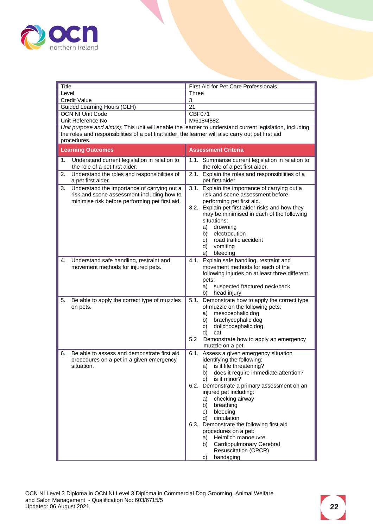

<span id="page-21-0"></span>

| Title                                                                                                             | First Aid for Pet Care Professionals                                                                    |  |  |
|-------------------------------------------------------------------------------------------------------------------|---------------------------------------------------------------------------------------------------------|--|--|
| Level                                                                                                             | <b>Three</b>                                                                                            |  |  |
| <b>Credit Value</b>                                                                                               | 3                                                                                                       |  |  |
| Guided Learning Hours (GLH)                                                                                       | 21                                                                                                      |  |  |
| <b>OCN NI Unit Code</b>                                                                                           | <b>CBF071</b>                                                                                           |  |  |
| Unit Reference No                                                                                                 | M/618/4882                                                                                              |  |  |
|                                                                                                                   | Unit purpose and aim(s): This unit will enable the learner to understand current legislation, including |  |  |
| the roles and responsibilities of a pet first aider, the learner will also carry out pet first aid<br>procedures. |                                                                                                         |  |  |
|                                                                                                                   |                                                                                                         |  |  |
| <b>Learning Outcomes</b>                                                                                          | <b>Assessment Criteria</b>                                                                              |  |  |
| Understand current legislation in relation to<br>1.<br>the role of a pet first aider.                             | 1.1. Summarise current legislation in relation to<br>the role of a pet first aider.                     |  |  |
| Understand the roles and responsibilities of<br>2.                                                                | 2.1. Explain the roles and responsibilities of a                                                        |  |  |
| a pet first aider.                                                                                                | pet first aider.                                                                                        |  |  |
| 3.<br>Understand the importance of carrying out a                                                                 | 3.1. Explain the importance of carrying out a                                                           |  |  |
| risk and scene assessment including how to<br>minimise risk before performing pet first aid.                      | risk and scene assessment before                                                                        |  |  |
|                                                                                                                   | performing pet first aid.<br>3.2. Explain pet first aider risks and how they                            |  |  |
|                                                                                                                   | may be minimised in each of the following                                                               |  |  |
|                                                                                                                   | situations:                                                                                             |  |  |
|                                                                                                                   | drowning<br>a)                                                                                          |  |  |
|                                                                                                                   | electrocution<br>b) –                                                                                   |  |  |
|                                                                                                                   | road traffic accident<br>C)                                                                             |  |  |
|                                                                                                                   | vomiting<br>d)                                                                                          |  |  |
|                                                                                                                   | bleeding<br>e).                                                                                         |  |  |
| Understand safe handling, restraint and<br>4.                                                                     | 4.1. Explain safe handling, restraint and                                                               |  |  |
| movement methods for injured pets.                                                                                | movement methods for each of the<br>following injuries on at least three different                      |  |  |
|                                                                                                                   | pets:                                                                                                   |  |  |
|                                                                                                                   | suspected fractured neck/back<br>a)                                                                     |  |  |
|                                                                                                                   | head injury<br>b)                                                                                       |  |  |
| 5.<br>Be able to apply the correct type of muzzles                                                                | 5.1. Demonstrate how to apply the correct type                                                          |  |  |
| on pets.                                                                                                          | of muzzle on the following pets:                                                                        |  |  |
|                                                                                                                   | mesocephalic dog<br>a)                                                                                  |  |  |
|                                                                                                                   | brachycephalic dog<br>b)                                                                                |  |  |
|                                                                                                                   | dolichocephalic dog<br>C)                                                                               |  |  |
|                                                                                                                   | d)<br>cat<br>5.2<br>Demonstrate how to apply an emergency                                               |  |  |
|                                                                                                                   | muzzle on a pet.                                                                                        |  |  |
| Be able to assess and demonstrate first aid<br>6.                                                                 | 6.1. Assess a given emergency situation                                                                 |  |  |
| procedures on a pet in a given emergency                                                                          | identifying the following:                                                                              |  |  |
| situation.                                                                                                        | a) is it life threatening?                                                                              |  |  |
|                                                                                                                   | does it require immediate attention?<br>b) -                                                            |  |  |
|                                                                                                                   | is it minor?<br>C)                                                                                      |  |  |
|                                                                                                                   | 6.2. Demonstrate a primary assessment on an                                                             |  |  |
|                                                                                                                   | injured pet including:                                                                                  |  |  |
|                                                                                                                   | checking airway<br>a) -<br>breathing<br>b)                                                              |  |  |
|                                                                                                                   | bleeding<br>c)                                                                                          |  |  |
|                                                                                                                   | circulation<br>d)                                                                                       |  |  |
|                                                                                                                   | 6.3. Demonstrate the following first aid                                                                |  |  |
|                                                                                                                   | procedures on a pet:                                                                                    |  |  |
|                                                                                                                   | Heimlich manoeuvre<br>a)                                                                                |  |  |
|                                                                                                                   | Cardiopulmonary Cerebral<br>b)                                                                          |  |  |
|                                                                                                                   | <b>Resuscitation (CPCR)</b>                                                                             |  |  |
|                                                                                                                   | bandaging<br>c)                                                                                         |  |  |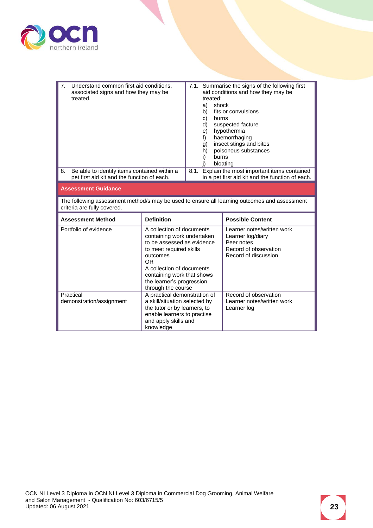

| 7.<br>Understand common first aid conditions,<br>associated signs and how they may be<br>treated.                           |                                                                                                                                                                                                                                                   | treated:<br>shock<br>a)<br>b)<br>burns<br>C)<br>d)<br>e)<br>f)<br>g)<br>h)<br>burns<br>i) | 7.1. Summarise the signs of the following first<br>aid conditions and how they may be<br>fits or convulsions<br>suspected facture<br>hypothermia<br>haemorrhaging<br>insect stings and bites<br>poisonous substances<br>bloating |
|-----------------------------------------------------------------------------------------------------------------------------|---------------------------------------------------------------------------------------------------------------------------------------------------------------------------------------------------------------------------------------------------|-------------------------------------------------------------------------------------------|----------------------------------------------------------------------------------------------------------------------------------------------------------------------------------------------------------------------------------|
| Be able to identify items contained within a<br>8.<br>pet first aid kit and the function of each.                           |                                                                                                                                                                                                                                                   |                                                                                           | 8.1. Explain the most important items contained<br>in a pet first aid kit and the function of each.                                                                                                                              |
| <b>Assessment Guidance</b>                                                                                                  |                                                                                                                                                                                                                                                   |                                                                                           |                                                                                                                                                                                                                                  |
| The following assessment method/s may be used to ensure all learning outcomes and assessment<br>criteria are fully covered. |                                                                                                                                                                                                                                                   |                                                                                           |                                                                                                                                                                                                                                  |
| <b>Assessment Method</b>                                                                                                    | <b>Definition</b>                                                                                                                                                                                                                                 |                                                                                           | <b>Possible Content</b>                                                                                                                                                                                                          |
| Portfolio of evidence                                                                                                       | A collection of documents<br>containing work undertaken<br>to be assessed as evidence<br>to meet required skills<br>outcomes<br>OR.<br>A collection of documents<br>containing work that shows<br>the learner's progression<br>through the course |                                                                                           | Learner notes/written work<br>Learner log/diary<br>Peer notes<br>Record of observation<br>Record of discussion                                                                                                                   |
| Practical<br>demonstration/assignment                                                                                       | A practical demonstration of<br>a skill/situation selected by<br>the tutor or by learners, to<br>enable learners to practise                                                                                                                      |                                                                                           | Record of observation<br>Learner notes/written work<br>Learner log                                                                                                                                                               |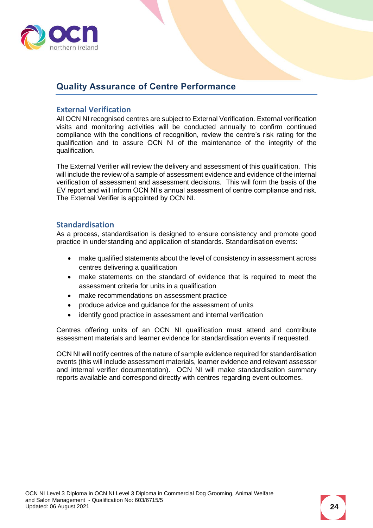

## <span id="page-23-0"></span>**Quality Assurance of Centre Performance**

#### <span id="page-23-1"></span>**External Verification**

All OCN NI recognised centres are subject to External Verification. External verification visits and monitoring activities will be conducted annually to confirm continued compliance with the conditions of recognition, review the centre's risk rating for the qualification and to assure OCN NI of the maintenance of the integrity of the qualification.

The External Verifier will review the delivery and assessment of this qualification. This will include the review of a sample of assessment evidence and evidence of the internal verification of assessment and assessment decisions. This will form the basis of the EV report and will inform OCN NI's annual assessment of centre compliance and risk. The External Verifier is appointed by OCN NI.

#### <span id="page-23-2"></span>**Standardisation**

As a process, standardisation is designed to ensure consistency and promote good practice in understanding and application of standards. Standardisation events:

- make qualified statements about the level of consistency in assessment across centres delivering a qualification
- make statements on the standard of evidence that is required to meet the assessment criteria for units in a qualification
- make recommendations on assessment practice
- produce advice and guidance for the assessment of units
- identify good practice in assessment and internal verification

Centres offering units of an OCN NI qualification must attend and contribute assessment materials and learner evidence for standardisation events if requested.

OCN NI will notify centres of the nature of sample evidence required for standardisation events (this will include assessment materials, learner evidence and relevant assessor and internal verifier documentation). OCN NI will make standardisation summary reports available and correspond directly with centres regarding event outcomes.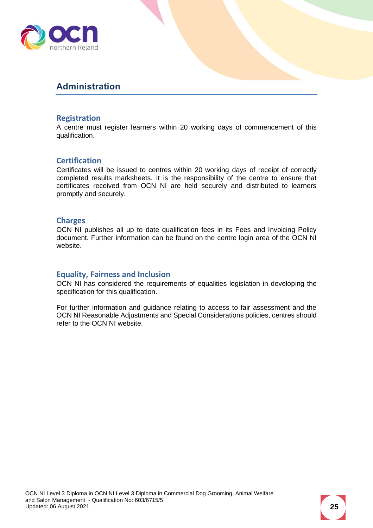

## <span id="page-24-0"></span>**Administration**

#### <span id="page-24-1"></span>**Registration**

A centre must register learners within 20 working days of commencement of this qualification.

#### <span id="page-24-2"></span>**Certification**

Certificates will be issued to centres within 20 working days of receipt of correctly completed results marksheets. It is the responsibility of the centre to ensure that certificates received from OCN NI are held securely and distributed to learners promptly and securely.

#### <span id="page-24-3"></span>**Charges**

OCN NI publishes all up to date qualification fees in its Fees and Invoicing Policy document. Further information can be found on the centre login area of the OCN NI website.

#### <span id="page-24-4"></span>**Equality, Fairness and Inclusion**

OCN NI has considered the requirements of equalities legislation in developing the specification for this qualification.

For further information and guidance relating to access to fair assessment and the OCN NI Reasonable Adjustments and Special Considerations policies, centres should refer to the OCN NI website.